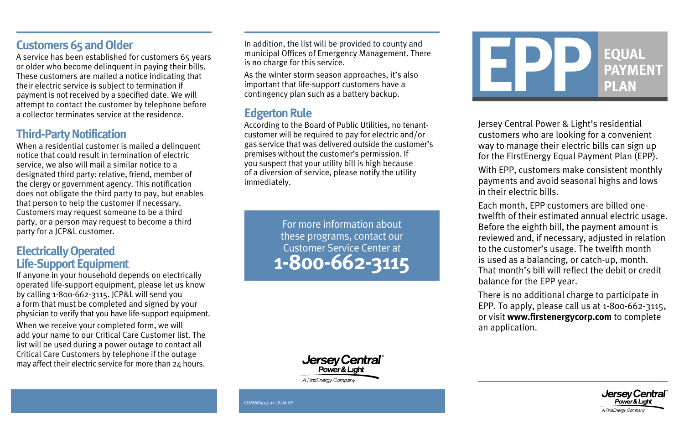#### **Customers 65 and Older**

A service has been established for customers 65 years or older who become delinquent in paying their bills. These customers are mailed a notice indicating that their electric service is subject to termination if payment is not received by a specified date. We will attempt to contact the customer by telephone before a collector terminates service at the residence.

#### **Third-Party Notification**

When a residential customer is mailed a delinquent notice that could result in termination of electric service, we also will mail a similar notice to a designated third party: relative, friend, member of the clergy or government agency. This notification does not obligate the third party to pay, but enables that person to help the customer if necessary. Customers may request someone to be a third party, or a person may request to become a third party for a JCP&L customer.

#### **Electrically Operated Life-Support Equipment**

If anyone in your household depends on electrically operated life-support equipment, please let us know by calling 1-800-662-3115. JCP&L will send you a form that must be completed and signed by your physician to verify that you have life-support equipment.

When we receive your completed form, we will add your name to our Critical Care Customer list. The list will be used during a power outage to contact all Critical Care Customers by telephone if the outage may affect their electric service for more than 24 hours.

In addition, the list will be provided to county and municipal Offices of Emergency Management. There is no charge for this service.

As the winter storm season approaches, it's also important that life-support customers have a contingency plan such as a battery backup.

#### **Edgerton Rule**

According to the Board of Public Utilities, no tenantcustomer will be required to pay for electric and/or gas service that was delivered outside the customer's premises without the customer's permission. If you suspect that your utility bill is high because of a diversion of service, please notify the utility immediately.

> For more information about these programs, contact our Customer Service Center at **1-800-662-3115**



A FirstEnergy Company



Jersey Central Power & Light's residential customers who are looking for a convenient way to manage their electric bills can sign up for the FirstEnergy Equal Payment Plan (EPP). With EPP, customers make consistent monthly payments and avoid seasonal highs and lows in their electric bills.

Each month, EPP customers are billed onetwelfth of their estimated annual electric usage. Before the eighth bill, the payment amount is reviewed and, if necessary, adjusted in relation to the customer's usage. The twelfth month is used as a balancing, or catch-up, month. That month's bill will reflect the debit or credit balance for the EPP year.

There is no additional charge to participate in EPP. To apply, please call us at 1-800-662-3115, or visit **www.firstenergycorp.com** to complete an application.



COMM8954-11-18-AI-AP